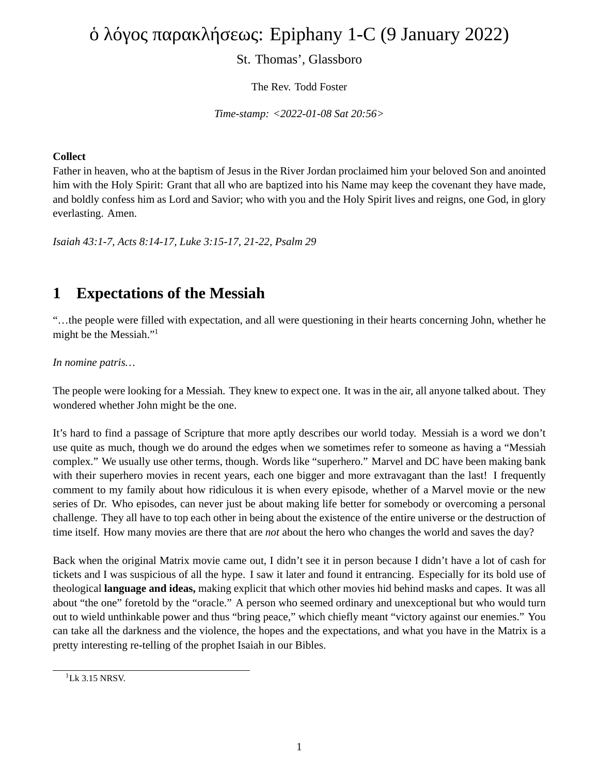# ὁ λόγος παρακλήσεως: Epiphany 1-C (9 January 2022)

#### St. Thomas', Glassboro

The Rev. Todd Foster

*Time-stamp: <2022-01-08 Sat 20:56>*

#### **Collect**

Father in heaven, who at the baptism of Jesus in the River Jordan proclaimed him your beloved Son and anointed him with the Holy Spirit: Grant that all who are baptized into his Name may keep the covenant they have made, and boldly confess him as Lord and Savior; who with you and the Holy Spirit lives and reigns, one God, in glory everlasting. Amen.

*Isaiah 43:1-7, Acts 8:14-17, Luke 3:15-17, 21-22, Psalm 29*

#### **1 Expectations of the Messiah**

"…the people were filled with expectation, and all were questioning in their hearts concerning John, whether he might be the Messiah."<sup>1</sup>

*In nomine patris…*

The people were looking for a Messiah. They knew to expect one. It was in the air, all anyone talked about. They wondered whether John might be the one.

It's hard to find a passage of Scripture that more aptly describes our world today. Messiah is a word we don't use quite as much, though we do around the edges when we sometimes refer to someone as having a "Messiah complex." We usually use other terms, though. Words like "superhero." Marvel and DC have been making bank with their superhero movies in recent years, each one bigger and more extravagant than the last! I frequently comment to my family about how ridiculous it is when every episode, whether of a Marvel movie or the new series of Dr. Who episodes, can never just be about making life better for somebody or overcoming a personal challenge. They all have to top each other in being about the existence of the entire universe or the destruction of time itself. How many movies are there that are *not* about the hero who changes the world and saves the day?

Back when the original Matrix movie came out, I didn't see it in person because I didn't have a lot of cash for tickets and I was suspicious of all the hype. I saw it later and found it entrancing. Especially for its bold use of theological **language and ideas,** making explicit that which other movies hid behind masks and capes. It was all about "the one" foretold by the "oracle." A person who seemed ordinary and unexceptional but who would turn out to wield unthinkable power and thus "bring peace," which chiefly meant "victory against our enemies." You can take all the darkness and the violence, the hopes and the expectations, and what you have in the Matrix is a pretty interesting re-telling of the prophet Isaiah in our Bibles.

 $1$ Lk 3.15 NRSV.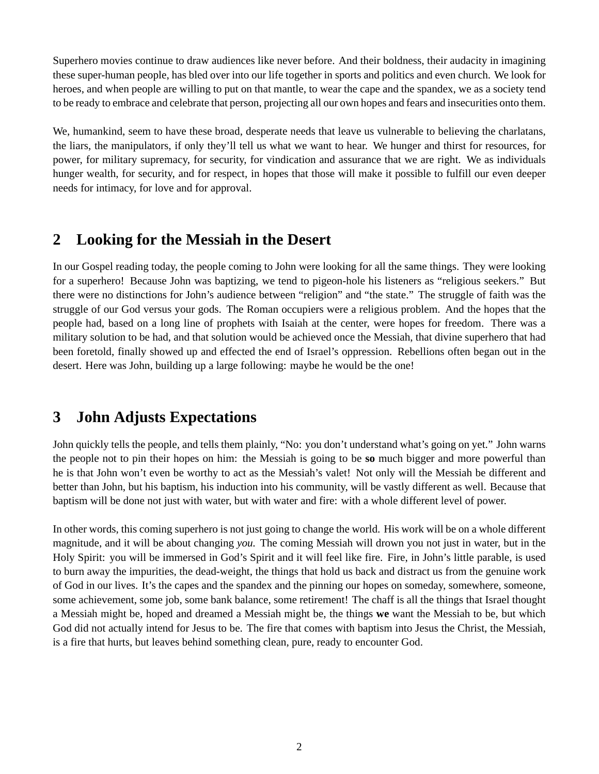Superhero movies continue to draw audiences like never before. And their boldness, their audacity in imagining these super-human people, has bled over into our life together in sports and politics and even church. We look for heroes, and when people are willing to put on that mantle, to wear the cape and the spandex, we as a society tend to be ready to embrace and celebrate that person, projecting all our own hopes and fears and insecurities onto them.

We, humankind, seem to have these broad, desperate needs that leave us vulnerable to believing the charlatans, the liars, the manipulators, if only they'll tell us what we want to hear. We hunger and thirst for resources, for power, for military supremacy, for security, for vindication and assurance that we are right. We as individuals hunger wealth, for security, and for respect, in hopes that those will make it possible to fulfill our even deeper needs for intimacy, for love and for approval.

### **2 Looking for the Messiah in the Desert**

In our Gospel reading today, the people coming to John were looking for all the same things. They were looking for a superhero! Because John was baptizing, we tend to pigeon-hole his listeners as "religious seekers." But there were no distinctions for John's audience between "religion" and "the state." The struggle of faith was the struggle of our God versus your gods. The Roman occupiers were a religious problem. And the hopes that the people had, based on a long line of prophets with Isaiah at the center, were hopes for freedom. There was a military solution to be had, and that solution would be achieved once the Messiah, that divine superhero that had been foretold, finally showed up and effected the end of Israel's oppression. Rebellions often began out in the desert. Here was John, building up a large following: maybe he would be the one!

### **3 John Adjusts Expectations**

John quickly tells the people, and tells them plainly, "No: you don't understand what's going on yet." John warns the people not to pin their hopes on him: the Messiah is going to be **so** much bigger and more powerful than he is that John won't even be worthy to act as the Messiah's valet! Not only will the Messiah be different and better than John, but his baptism, his induction into his community, will be vastly different as well. Because that baptism will be done not just with water, but with water and fire: with a whole different level of power.

In other words, this coming superhero is not just going to change the world. His work will be on a whole different magnitude, and it will be about changing *you.* The coming Messiah will drown you not just in water, but in the Holy Spirit: you will be immersed in God's Spirit and it will feel like fire. Fire, in John's little parable, is used to burn away the impurities, the dead-weight, the things that hold us back and distract us from the genuine work of God in our lives. It's the capes and the spandex and the pinning our hopes on someday, somewhere, someone, some achievement, some job, some bank balance, some retirement! The chaff is all the things that Israel thought a Messiah might be, hoped and dreamed a Messiah might be, the things **we** want the Messiah to be, but which God did not actually intend for Jesus to be. The fire that comes with baptism into Jesus the Christ, the Messiah, is a fire that hurts, but leaves behind something clean, pure, ready to encounter God.